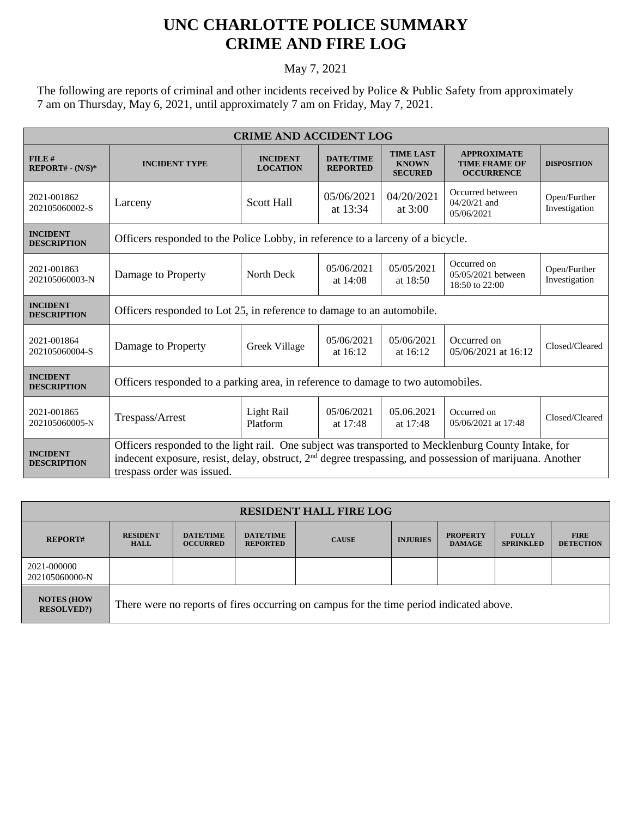## **UNC CHARLOTTE POLICE SUMMARY CRIME AND FIRE LOG**

## May 7, 2021

The following are reports of criminal and other incidents received by Police & Public Safety from approximately 7 am on Thursday, May 6, 2021, until approximately 7 am on Friday, May 7, 2021.

| <b>CRIME AND ACCIDENT LOG</b>         |                                                                                                                                                                                                                                                           |                                    |                                     |                                                    |                                                                 |                               |  |
|---------------------------------------|-----------------------------------------------------------------------------------------------------------------------------------------------------------------------------------------------------------------------------------------------------------|------------------------------------|-------------------------------------|----------------------------------------------------|-----------------------------------------------------------------|-------------------------------|--|
| $FILE$ #<br>$REPORT# - (N/S)*$        | <b>INCIDENT TYPE</b>                                                                                                                                                                                                                                      | <b>INCIDENT</b><br><b>LOCATION</b> | <b>DATE/TIME</b><br><b>REPORTED</b> | <b>TIME LAST</b><br><b>KNOWN</b><br><b>SECURED</b> | <b>APPROXIMATE</b><br><b>TIME FRAME OF</b><br><b>OCCURRENCE</b> | <b>DISPOSITION</b>            |  |
| 2021-001862<br>202105060002-S         | Larceny                                                                                                                                                                                                                                                   | <b>Scott Hall</b>                  | 05/06/2021<br>at 13:34              | 04/20/2021<br>at 3:00                              | Occurred between<br>$04/20/21$ and<br>05/06/2021                | Open/Further<br>Investigation |  |
| <b>INCIDENT</b><br><b>DESCRIPTION</b> | Officers responded to the Police Lobby, in reference to a larceny of a bicycle.                                                                                                                                                                           |                                    |                                     |                                                    |                                                                 |                               |  |
| 2021-001863<br>202105060003-N         | Damage to Property                                                                                                                                                                                                                                        | North Deck                         | 05/06/2021<br>at $14:08$            | 05/05/2021<br>at $18:50$                           | Occurred on<br>05/05/2021 between<br>18:50 to 22:00             | Open/Further<br>Investigation |  |
| <b>INCIDENT</b><br><b>DESCRIPTION</b> | Officers responded to Lot 25, in reference to damage to an automobile.                                                                                                                                                                                    |                                    |                                     |                                                    |                                                                 |                               |  |
| 2021-001864<br>202105060004-S         | Damage to Property                                                                                                                                                                                                                                        | Greek Village                      | 05/06/2021<br>at $16:12$            | 05/06/2021<br>at $16:12$                           | Occurred on<br>05/06/2021 at 16:12                              | Closed/Cleared                |  |
| <b>INCIDENT</b><br><b>DESCRIPTION</b> | Officers responded to a parking area, in reference to damage to two automobiles.                                                                                                                                                                          |                                    |                                     |                                                    |                                                                 |                               |  |
| 2021-001865<br>202105060005-N         | Trespass/Arrest                                                                                                                                                                                                                                           | Light Rail<br>Platform             | 05/06/2021<br>at $17:48$            | 05.06.2021<br>at 17:48                             | Occurred on<br>05/06/2021 at 17:48                              | Closed/Cleared                |  |
| <b>INCIDENT</b><br><b>DESCRIPTION</b> | Officers responded to the light rail. One subject was transported to Mecklenburg County Intake, for<br>indecent exposure, resist, delay, obstruct, 2 <sup>nd</sup> degree trespassing, and possession of marijuana. Another<br>trespass order was issued. |                                    |                                     |                                                    |                                                                 |                               |  |

| <b>RESIDENT HALL FIRE LOG</b>         |                                                                                         |                                     |                                     |              |                 |                                  |                                  |                                 |
|---------------------------------------|-----------------------------------------------------------------------------------------|-------------------------------------|-------------------------------------|--------------|-----------------|----------------------------------|----------------------------------|---------------------------------|
| <b>REPORT#</b>                        | <b>RESIDENT</b><br><b>HALL</b>                                                          | <b>DATE/TIME</b><br><b>OCCURRED</b> | <b>DATE/TIME</b><br><b>REPORTED</b> | <b>CAUSE</b> | <b>INJURIES</b> | <b>PROPERTY</b><br><b>DAMAGE</b> | <b>FULLY</b><br><b>SPRINKLED</b> | <b>FIRE</b><br><b>DETECTION</b> |
| 2021-000000<br>202105060000-N         |                                                                                         |                                     |                                     |              |                 |                                  |                                  |                                 |
| <b>NOTES (HOW</b><br><b>RESOLVED?</b> | There were no reports of fires occurring on campus for the time period indicated above. |                                     |                                     |              |                 |                                  |                                  |                                 |